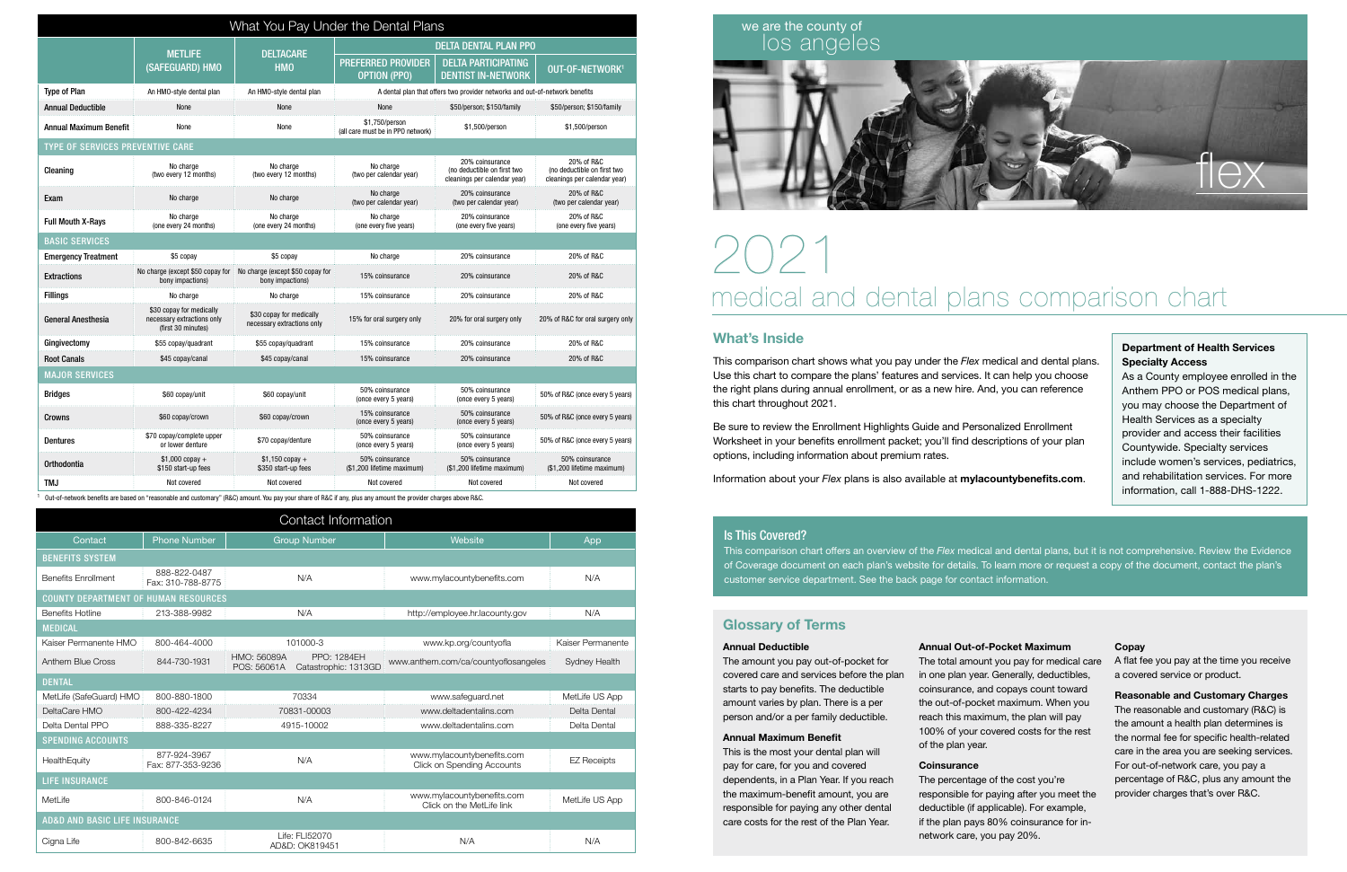| What You Pay Under the Dental Plans     |                                                                              |                                                        |                                                                             |                                                                                |                                                                           |  |  |  |
|-----------------------------------------|------------------------------------------------------------------------------|--------------------------------------------------------|-----------------------------------------------------------------------------|--------------------------------------------------------------------------------|---------------------------------------------------------------------------|--|--|--|
|                                         | <b>METLIFE</b>                                                               | <b>DELTACARE</b><br><b>HMO</b>                         | <b>DELTA DENTAL PLAN PPO</b>                                                |                                                                                |                                                                           |  |  |  |
|                                         | (SAFEGUARD) HMO                                                              |                                                        | <b>PREFERRED PROVIDER</b><br><b>OPTION (PPO)</b>                            | <b>DELTA PARTICIPATING</b><br><b>DENTIST IN-NETWORK</b>                        | OUT-OF-NETWORK <sup>1</sup>                                               |  |  |  |
| <b>Type of Plan</b>                     | An HMO-style dental plan                                                     | An HMO-style dental plan                               | A dental plan that offers two provider networks and out-of-network benefits |                                                                                |                                                                           |  |  |  |
| <b>Annual Deductible</b>                | None                                                                         | None                                                   | None                                                                        | \$50/person; \$150/family                                                      | \$50/person; \$150/family                                                 |  |  |  |
| <b>Annual Maximum Benefit</b>           | None                                                                         | None                                                   | \$1,750/person<br>(all care must be in PPO network)                         | \$1,500/person                                                                 | \$1,500/person                                                            |  |  |  |
| <b>TYPE OF SERVICES PREVENTIVE CARE</b> |                                                                              |                                                        |                                                                             |                                                                                |                                                                           |  |  |  |
| Cleaning                                | No charge<br>(two every 12 months)                                           | No charge<br>(two every 12 months)                     | No charge<br>(two per calendar year)                                        | 20% coinsurance<br>(no deductible on first two<br>cleanings per calendar year) | 20% of R&C<br>(no deductible on first two<br>cleanings per calendar year) |  |  |  |
| Exam                                    | No charge                                                                    | No charge                                              | No charge<br>(two per calendar year)                                        | 20% coinsurance<br>(two per calendar year)                                     | 20% of R&C<br>(two per calendar year)                                     |  |  |  |
| <b>Full Mouth X-Rays</b>                | No charge<br>(one every 24 months)                                           | No charge<br>(one every 24 months)                     | No charge<br>(one every five years)                                         | 20% coinsurance<br>(one every five years)                                      | 20% of R&C<br>(one every five years)                                      |  |  |  |
| <b>BASIC SERVICES</b>                   |                                                                              |                                                        |                                                                             |                                                                                |                                                                           |  |  |  |
| <b>Emergency Treatment</b>              | \$5 copay                                                                    | \$5 copay                                              | No charge                                                                   | 20% coinsurance                                                                | 20% of R&C                                                                |  |  |  |
| <b>Extractions</b>                      | No charge (except \$50 copay for<br>bony impactions)                         | No charge (except \$50 copay for<br>bony impactions)   | 15% coinsurance                                                             | 20% coinsurance                                                                | 20% of R&C                                                                |  |  |  |
| <b>Fillings</b>                         | No charge                                                                    | No charge                                              | 15% coinsurance                                                             | 20% coinsurance                                                                | 20% of R&C                                                                |  |  |  |
| <b>General Anesthesia</b>               | \$30 copay for medically<br>necessary extractions only<br>(first 30 minutes) | \$30 copay for medically<br>necessary extractions only | 15% for oral surgery only                                                   | 20% for oral surgery only                                                      | 20% of R&C for oral surgery only                                          |  |  |  |
| Gingivectomy                            | \$55 copay/quadrant                                                          | \$55 copay/quadrant                                    | 15% coinsurance                                                             | 20% coinsurance                                                                | 20% of R&C                                                                |  |  |  |
| <b>Root Canals</b>                      | \$45 copay/canal                                                             | \$45 copay/canal                                       | 15% coinsurance                                                             | 20% coinsurance                                                                | 20% of R&C                                                                |  |  |  |
| <b>MAJOR SERVICES</b>                   |                                                                              |                                                        |                                                                             |                                                                                |                                                                           |  |  |  |
| <b>Bridges</b>                          | \$60 copay/unit                                                              | \$60 copay/unit                                        | 50% coinsurance<br>(once every 5 years)                                     | 50% coinsurance<br>(once every 5 years)                                        | 50% of R&C (once every 5 years)                                           |  |  |  |
| Crowns                                  | \$60 copay/crown                                                             | \$60 copay/crown                                       | 15% coinsurance<br>(once every 5 years)                                     | 50% coinsurance<br>(once every 5 years)                                        | 50% of R&C (once every 5 years)                                           |  |  |  |
| <b>Dentures</b>                         | \$70 copay/complete upper<br>or lower denture                                | \$70 copay/denture                                     | 50% coinsurance<br>(once every 5 years)                                     | 50% coinsurance<br>(once every 5 years)                                        | 50% of R&C (once every 5 years)                                           |  |  |  |
| Orthodontia                             | $$1.000$ copay +<br>\$150 start-up fees                                      | $$1.150$ copay +<br>\$350 start-up fees                | 50% coinsurance<br>(\$1,200 lifetime maximum)                               | 50% coinsurance<br>(\$1,200 lifetime maximum)                                  | 50% coinsurance<br>(\$1,200 lifetime maximum)                             |  |  |  |
| TMJ                                     | Not covered                                                                  | Not covered                                            | Not covered                                                                 | Not covered                                                                    | Not covered                                                               |  |  |  |

1 Out-of-network benefits are based on "reasonable and customary" (R&C) amount. You pay your share of R&C if any, plus any amount the provider charges above R&C.

## What's Inside

This comparison chart shows what you pay under the *Flex* medical and dental plans. Use this chart to compare the plans' features and services. It can help you choose the right plans during annual enrollment, or as a new hire. And, you can reference this chart throughout 2021.

Be sure to review the Enrollment Highlights Guide and Personalized Enrollment Worksheet in your benefits enrollment packet; you'll find descriptions of your plan options, including information about premium rates.

Information about your *Flex* plans is also available at mylacountybenefits.com.

| Contact Information                         |                                   |                                  |                                            |                                                                 |                    |  |  |
|---------------------------------------------|-----------------------------------|----------------------------------|--------------------------------------------|-----------------------------------------------------------------|--------------------|--|--|
| Contact                                     | <b>Phone Number</b>               | <b>Group Number</b>              |                                            | Website                                                         | App                |  |  |
| <b>BENEFITS SYSTEM</b>                      |                                   |                                  |                                            |                                                                 |                    |  |  |
| <b>Benefits Enrollment</b>                  | 888-822-0487<br>Fax: 310-788-8775 | N/A                              |                                            | www.mylacountybenefits.com                                      | N/A                |  |  |
| <b>COUNTY DEPARTMENT OF HUMAN RESOURCES</b> |                                   |                                  |                                            |                                                                 |                    |  |  |
| <b>Benefits Hotline</b>                     | 213-388-9982                      | N/A                              |                                            | http://employee.hr.lacounty.gov                                 | N/A                |  |  |
| <b>MEDICAL</b>                              |                                   |                                  |                                            |                                                                 |                    |  |  |
| Kaiser Permanente HMO                       | 800-464-4000                      | 101000-3                         |                                            | www.kp.org/countyofla                                           | Kaiser Permanente  |  |  |
| Anthem Blue Cross                           | 844-730-1931                      | HMO: 56089A<br>POS: 56061A       | <b>PPO: 1284EH</b><br>Catastrophic: 1313GD | www.anthem.com/ca/countyoflosangeles                            | Sydney Health      |  |  |
| <b>DENTAL</b>                               |                                   |                                  |                                            |                                                                 |                    |  |  |
| MetLife (SafeGuard) HMO                     | 800-880-1800                      | 70334                            |                                            | www.safeguard.net                                               |                    |  |  |
| DeltaCare HMO                               | 800-422-4234                      | 70831-00003                      |                                            | www.deltadentalins.com                                          | Delta Dental       |  |  |
| Delta Dental PPO                            | 888-335-8227                      | 4915-10002                       |                                            | www.deltadentalins.com                                          | Delta Dental       |  |  |
| <b>SPENDING ACCOUNTS</b>                    |                                   |                                  |                                            |                                                                 |                    |  |  |
| HealthEquity                                | 877-924-3967<br>Fax: 877-353-9236 | N/A                              |                                            | www.mylacountybenefits.com<br><b>Click on Spending Accounts</b> | <b>EZ Receipts</b> |  |  |
| <b>LIFE INSURANCE</b>                       |                                   |                                  |                                            |                                                                 |                    |  |  |
| <b>MetLife</b>                              | 800-846-0124                      | N/A                              |                                            | www.mylacountybenefits.com<br>Click on the MetLife link         | MetLife US App     |  |  |
| AD&D AND BASIC LIFE INSURANCE               |                                   |                                  |                                            |                                                                 |                    |  |  |
| Cigna Life                                  | 800-842-6635                      | Life: FLI52070<br>AD&D: OK819451 |                                            | N/A                                                             | N/A                |  |  |

# we are the county of

### Is This Covered?



This comparison chart offers an overview of the *Flex* medical and dental plans, but it is not comprehensive. Review the Evidence of Coverage document on each plan's website for details. To learn more or request a copy of the document, contact the plan's customer service department. See the back page for contact information.

### Department of Health Services Specialty Access

As a County employee enrolled in the Anthem PPO or POS medical plans, you may choose the Department of Health Services as a specialty provider and access their facilities Countywide. Specialty services include women's services, pediatrics, and rehabilitation services. For more information, call 1-888-DHS-1222.

# Glossary of Terms

### **Annual Deductible**

The amount you pay out-of-pocket for covered care and services before the plan starts to pay benefits. The deductible amount varies by plan. There is a per person and/or a per family deductible.

#### **Annual Maximum Benefit**

This is the most your dental plan will pay for care, for you and covered dependents, in a Plan Year. If you reach the maximum-benefit amount, you are responsible for paying any other dental care costs for the rest of the Plan Year.

**Annual Out-of-Pocket Maximum** The total amount you pay for medical care in one plan year. Generally, deductibles, coinsurance, and copays count toward the out-of-pocket maximum. When you reach this maximum, the plan will pay 100% of your covered costs for the rest of the plan year.

#### **Coinsurance**

The percentage of the cost you're responsible for paying after you meet the deductible (if applicable). For example, if the plan pays 80% coinsurance for innetwork care, you pay 20%.

#### **Copay**

A flat fee you pay at the time you receive a covered service or product.

**Reasonable and Customary Charges** The reasonable and customary (R&C) is the amount a health plan determines is the normal fee for specific health-related care in the area you are seeking services. For out-of-network care, you pay a percentage of R&C, plus any amount the provider charges that's over R&C.

# 2021 medical and dental plans comparison chart